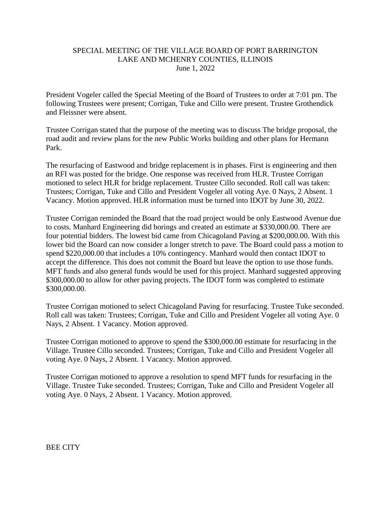## SPECIAL MEETING OF THE VILLAGE BOARD OF PORT BARRINGTON LAKE AND MCHENRY COUNTIES, ILLINOIS June 1, 2022

President Vogeler called the Special Meeting of the Board of Trustees to order at 7:01 pm. The following Trustees were present; Corrigan, Tuke and Cillo were present. Trustee Grothendick and Fleissner were absent.

Trustee Corrigan stated that the purpose of the meeting was to discuss The bridge proposal, the road audit and review plans for the new Public Works building and other plans for Hermann Park.

The resurfacing of Eastwood and bridge replacement is in phases. First is engineering and then an RFI was posted for the bridge. One response was received from HLR. Trustee Corrigan motioned to select HLR for bridge replacement. Trustee Cillo seconded. Roll call was taken: Trustees; Corrigan, Tuke and Cillo and President Vogeler all voting Aye. 0 Nays, 2 Absent. 1 Vacancy. Motion approved. HLR information must be turned into IDOT by June 30, 2022.

Trustee Corrigan reminded the Board that the road project would be only Eastwood Avenue due to costs. Manhard Engineering did borings and created an estimate at \$330,000.00. There are four potential bidders. The lowest bid came from Chicagoland Paving at \$200,000.00. With this lower bid the Board can now consider a longer stretch to pave. The Board could pass a motion to spend \$220,000.00 that includes a 10% contingency. Manhard would then contact IDOT to accept the difference. This does not commit the Board but leave the option to use those funds. MFT funds and also general funds would be used for this project. Manhard suggested approving \$300,000.00 to allow for other paving projects. The IDOT form was completed to estimate \$300,000.00.

Trustee Corrigan motioned to select Chicagoland Paving for resurfacing. Trustee Tuke seconded. Roll call was taken: Trustees; Corrigan, Tuke and Cillo and President Vogeler all voting Aye. 0 Nays, 2 Absent. 1 Vacancy. Motion approved.

Trustee Corrigan motioned to approve to spend the \$300,000.00 estimate for resurfacing in the Village. Trustee Cillo seconded. Trustees; Corrigan, Tuke and Cillo and President Vogeler all voting Aye. 0 Nays, 2 Absent. 1 Vacancy. Motion approved.

Trustee Corrigan motioned to approve a resolution to spend MFT funds for resurfacing in the Village. Trustee Tuke seconded. Trustees; Corrigan, Tuke and Cillo and President Vogeler all voting Aye. 0 Nays, 2 Absent. 1 Vacancy. Motion approved.